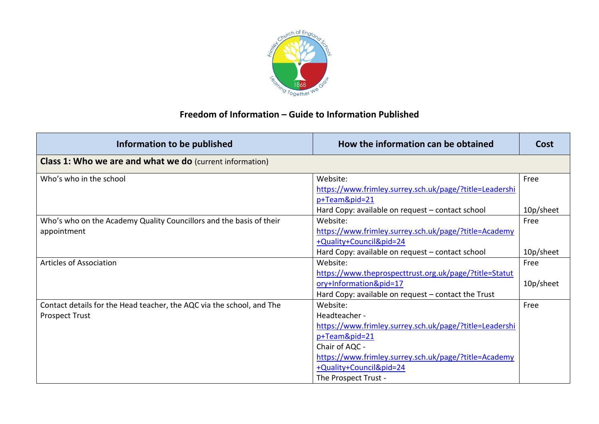

## **Freedom of Information – Guide to Information Published**

| Information to be published                                           | How the information can be obtained                     | Cost      |
|-----------------------------------------------------------------------|---------------------------------------------------------|-----------|
| <b>Class 1: Who we are and what we do</b> (current information)       |                                                         |           |
| Who's who in the school                                               | Website:                                                | Free      |
|                                                                       | https://www.frimley.surrey.sch.uk/page/?title=Leadershi |           |
|                                                                       | p+Team&pid=21                                           |           |
|                                                                       | Hard Copy: available on request - contact school        | 10p/sheet |
| Who's who on the Academy Quality Councillors and the basis of their   | Website:                                                | Free      |
| appointment                                                           | https://www.frimley.surrey.sch.uk/page/?title=Academy   |           |
|                                                                       | +Quality+Council&pid=24                                 |           |
|                                                                       | Hard Copy: available on request - contact school        | 10p/sheet |
| <b>Articles of Association</b>                                        | Website:                                                | Free      |
|                                                                       | https://www.theprospecttrust.org.uk/page/?title=Statut  |           |
|                                                                       | ory+Information&pid=17                                  | 10p/sheet |
|                                                                       | Hard Copy: available on request – contact the Trust     |           |
| Contact details for the Head teacher, the AQC via the school, and The | Website:                                                | Free      |
| <b>Prospect Trust</b>                                                 | Headteacher -                                           |           |
|                                                                       | https://www.frimley.surrey.sch.uk/page/?title=Leadershi |           |
|                                                                       | p+Team&pid=21                                           |           |
|                                                                       | Chair of AQC -                                          |           |
|                                                                       | https://www.frimley.surrey.sch.uk/page/?title=Academy   |           |
|                                                                       | +Quality+Council&pid=24                                 |           |
|                                                                       | The Prospect Trust -                                    |           |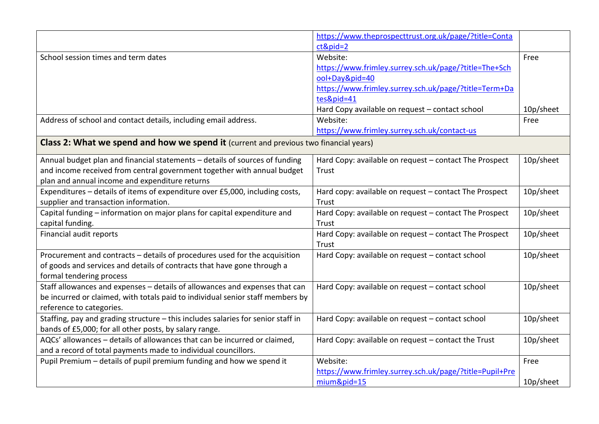|                                                                                              | https://www.theprospecttrust.org.uk/page/?title=Conta   |           |
|----------------------------------------------------------------------------------------------|---------------------------------------------------------|-----------|
|                                                                                              | $ct&pid=2$                                              |           |
| School session times and term dates                                                          | Website:                                                | Free      |
|                                                                                              | https://www.frimley.surrey.sch.uk/page/?title=The+Sch   |           |
|                                                                                              | ool+Day&pid=40                                          |           |
|                                                                                              | https://www.frimley.surrey.sch.uk/page/?title=Term+Da   |           |
|                                                                                              | tes&pid=41                                              |           |
|                                                                                              | Hard Copy available on request - contact school         | 10p/sheet |
| Address of school and contact details, including email address.                              | Website:                                                | Free      |
|                                                                                              | https://www.frimley.surrey.sch.uk/contact-us            |           |
| <b>Class 2: What we spend and how we spend it</b> (current and previous two financial years) |                                                         |           |
| Annual budget plan and financial statements - details of sources of funding                  | Hard Copy: available on request - contact The Prospect  | 10p/sheet |
| and income received from central government together with annual budget                      | Trust                                                   |           |
| plan and annual income and expenditure returns                                               |                                                         |           |
| Expenditures - details of items of expenditure over £5,000, including costs,                 | Hard copy: available on request - contact The Prospect  | 10p/sheet |
| supplier and transaction information.                                                        | Trust                                                   |           |
| Capital funding - information on major plans for capital expenditure and                     | Hard Copy: available on request - contact The Prospect  | 10p/sheet |
| capital funding.                                                                             | Trust                                                   |           |
| Financial audit reports                                                                      | Hard Copy: available on request - contact The Prospect  | 10p/sheet |
|                                                                                              | Trust                                                   |           |
| Procurement and contracts - details of procedures used for the acquisition                   | Hard Copy: available on request - contact school        | 10p/sheet |
| of goods and services and details of contracts that have gone through a                      |                                                         |           |
| formal tendering process                                                                     |                                                         |           |
| Staff allowances and expenses - details of allowances and expenses that can                  | Hard Copy: available on request - contact school        | 10p/sheet |
| be incurred or claimed, with totals paid to individual senior staff members by               |                                                         |           |
| reference to categories.                                                                     |                                                         |           |
| Staffing, pay and grading structure - this includes salaries for senior staff in             | Hard Copy: available on request - contact school        | 10p/sheet |
| bands of £5,000; for all other posts, by salary range.                                       |                                                         |           |
| AQCs' allowances - details of allowances that can be incurred or claimed,                    | Hard Copy: available on request - contact the Trust     | 10p/sheet |
| and a record of total payments made to individual councillors.                               |                                                         |           |
| Pupil Premium - details of pupil premium funding and how we spend it                         | Website:                                                | Free      |
|                                                                                              | https://www.frimley.surrey.sch.uk/page/?title=Pupil+Pre |           |
|                                                                                              | mium&pid=15                                             | 10p/sheet |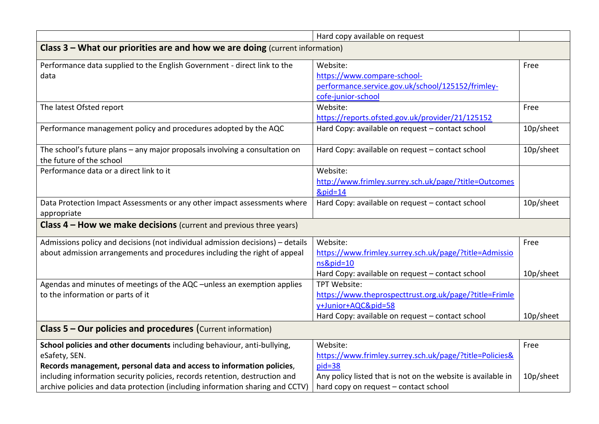|                                                                                | Hard copy available on request                               |           |  |
|--------------------------------------------------------------------------------|--------------------------------------------------------------|-----------|--|
| Class 3 - What our priorities are and how we are doing (current information)   |                                                              |           |  |
| Performance data supplied to the English Government - direct link to the       | Website:                                                     | Free      |  |
| data                                                                           | https://www.compare-school-                                  |           |  |
|                                                                                | performance.service.gov.uk/school/125152/frimley-            |           |  |
|                                                                                | cofe-junior-school                                           |           |  |
| The latest Ofsted report                                                       | Website:                                                     | Free      |  |
|                                                                                | https://reports.ofsted.gov.uk/provider/21/125152             |           |  |
| Performance management policy and procedures adopted by the AQC                | Hard Copy: available on request - contact school             | 10p/sheet |  |
| The school's future plans - any major proposals involving a consultation on    | Hard Copy: available on request - contact school             | 10p/sheet |  |
| the future of the school                                                       |                                                              |           |  |
| Performance data or a direct link to it                                        | Website:                                                     |           |  |
|                                                                                | http://www.frimley.surrey.sch.uk/page/?title=Outcomes        |           |  |
|                                                                                | $&$ pid=14                                                   |           |  |
| Data Protection Impact Assessments or any other impact assessments where       | Hard Copy: available on request - contact school             | 10p/sheet |  |
| appropriate                                                                    |                                                              |           |  |
| <b>Class 4 – How we make decisions</b> (current and previous three years)      |                                                              |           |  |
| Admissions policy and decisions (not individual admission decisions) - details | Website:                                                     | Free      |  |
| about admission arrangements and procedures including the right of appeal      | https://www.frimley.surrey.sch.uk/page/?title=Admissio       |           |  |
|                                                                                | ns&pid=10                                                    |           |  |
|                                                                                | Hard Copy: available on request - contact school             | 10p/sheet |  |
| Agendas and minutes of meetings of the AQC - unless an exemption applies       | TPT Website:                                                 |           |  |
| to the information or parts of it                                              | https://www.theprospecttrust.org.uk/page/?title=Frimle       |           |  |
|                                                                                | y+Junior+AQC&pid=58                                          |           |  |
|                                                                                | Hard Copy: available on request - contact school             | 10p/sheet |  |
| Class 5 - Our policies and procedures (Current information)                    |                                                              |           |  |
| School policies and other documents including behaviour, anti-bullying,        | Website:                                                     | Free      |  |
| eSafety, SEN.                                                                  | https://www.frimley.surrey.sch.uk/page/?title=Policies&      |           |  |
| Records management, personal data and access to information policies,          | pid=38                                                       |           |  |
| including information security policies, records retention, destruction and    | Any policy listed that is not on the website is available in | 10p/sheet |  |
| archive policies and data protection (including information sharing and CCTV)  | hard copy on request - contact school                        |           |  |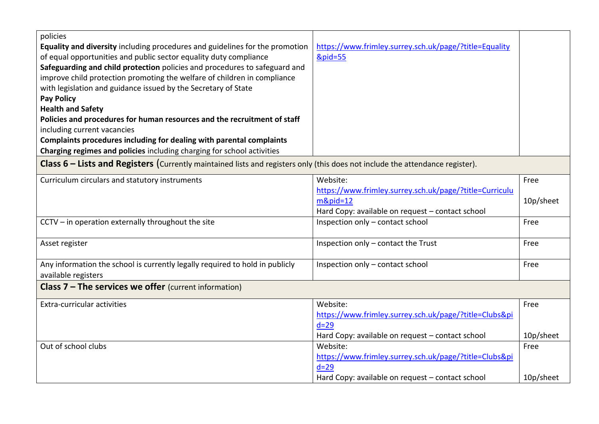| policies<br>Equality and diversity including procedures and guidelines for the promotion<br>of equal opportunities and public sector equality duty compliance<br>Safeguarding and child protection policies and procedures to safeguard and<br>improve child protection promoting the welfare of children in compliance<br>with legislation and guidance issued by the Secretary of State<br><b>Pay Policy</b><br><b>Health and Safety</b><br>Policies and procedures for human resources and the recruitment of staff<br>including current vacancies<br>Complaints procedures including for dealing with parental complaints<br>Charging regimes and policies including charging for school activities<br><b>Class 6 – Lists and Registers</b> (Currently maintained lists and registers only (this does not include the attendance register). | https://www.frimley.surrey.sch.uk/page/?title=Equality<br><b>&amp;pid=55</b>                                                           |                   |
|-------------------------------------------------------------------------------------------------------------------------------------------------------------------------------------------------------------------------------------------------------------------------------------------------------------------------------------------------------------------------------------------------------------------------------------------------------------------------------------------------------------------------------------------------------------------------------------------------------------------------------------------------------------------------------------------------------------------------------------------------------------------------------------------------------------------------------------------------|----------------------------------------------------------------------------------------------------------------------------------------|-------------------|
| Curriculum circulars and statutory instruments                                                                                                                                                                                                                                                                                                                                                                                                                                                                                                                                                                                                                                                                                                                                                                                                  | Website:<br>https://www.frimley.surrey.sch.uk/page/?title=Curriculu<br>$m\&pid=12$<br>Hard Copy: available on request - contact school | Free<br>10p/sheet |
| CCTV - in operation externally throughout the site                                                                                                                                                                                                                                                                                                                                                                                                                                                                                                                                                                                                                                                                                                                                                                                              | Inspection only - contact school                                                                                                       | Free              |
| Asset register                                                                                                                                                                                                                                                                                                                                                                                                                                                                                                                                                                                                                                                                                                                                                                                                                                  | Inspection only - contact the Trust                                                                                                    | Free              |
| Any information the school is currently legally required to hold in publicly<br>available registers                                                                                                                                                                                                                                                                                                                                                                                                                                                                                                                                                                                                                                                                                                                                             | Inspection only - contact school                                                                                                       | Free              |
| <b>Class 7 - The services we offer</b> (current information)                                                                                                                                                                                                                                                                                                                                                                                                                                                                                                                                                                                                                                                                                                                                                                                    |                                                                                                                                        |                   |
| Extra-curricular activities                                                                                                                                                                                                                                                                                                                                                                                                                                                                                                                                                                                                                                                                                                                                                                                                                     | Website:<br>https://www.frimley.surrey.sch.uk/page/?title=Clubsπ<br>$d=29$<br>Hard Copy: available on request - contact school         | Free<br>10p/sheet |
| Out of school clubs                                                                                                                                                                                                                                                                                                                                                                                                                                                                                                                                                                                                                                                                                                                                                                                                                             | Website:<br>https://www.frimley.surrey.sch.uk/page/?title=Clubsπ<br>$d=29$<br>Hard Copy: available on request - contact school         | Free<br>10p/sheet |